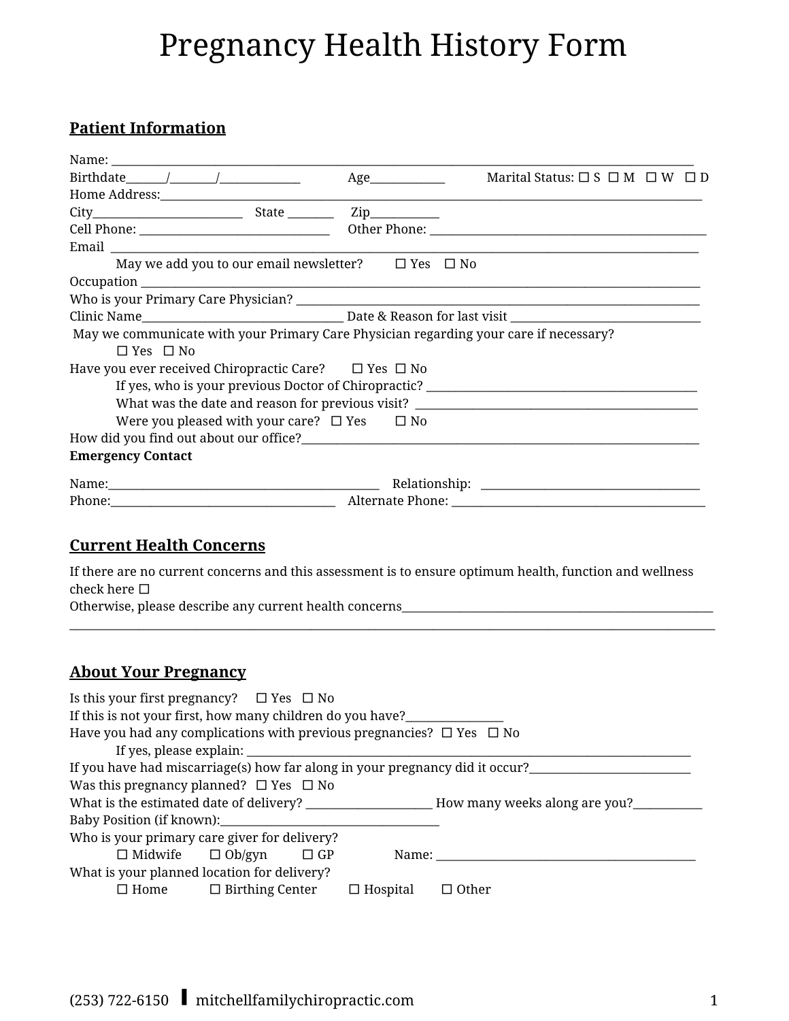# Pregnancy Health History Form

# **Patient Information**

|                                                                                                                                                                                                                                       | Age                                                                                  | Marital Status: $\square$ S $\square$ M $\square$ W $\square$ D                                                                                                                                                                                                                                                                                                                                                                                                                                                                                                |
|---------------------------------------------------------------------------------------------------------------------------------------------------------------------------------------------------------------------------------------|--------------------------------------------------------------------------------------|----------------------------------------------------------------------------------------------------------------------------------------------------------------------------------------------------------------------------------------------------------------------------------------------------------------------------------------------------------------------------------------------------------------------------------------------------------------------------------------------------------------------------------------------------------------|
|                                                                                                                                                                                                                                       |                                                                                      |                                                                                                                                                                                                                                                                                                                                                                                                                                                                                                                                                                |
|                                                                                                                                                                                                                                       |                                                                                      |                                                                                                                                                                                                                                                                                                                                                                                                                                                                                                                                                                |
|                                                                                                                                                                                                                                       |                                                                                      |                                                                                                                                                                                                                                                                                                                                                                                                                                                                                                                                                                |
|                                                                                                                                                                                                                                       |                                                                                      |                                                                                                                                                                                                                                                                                                                                                                                                                                                                                                                                                                |
|                                                                                                                                                                                                                                       | May we add you to our email new<br>sletter? $\hfill \Box$<br>Yes $\hfill \Box$<br>No |                                                                                                                                                                                                                                                                                                                                                                                                                                                                                                                                                                |
|                                                                                                                                                                                                                                       |                                                                                      |                                                                                                                                                                                                                                                                                                                                                                                                                                                                                                                                                                |
|                                                                                                                                                                                                                                       |                                                                                      |                                                                                                                                                                                                                                                                                                                                                                                                                                                                                                                                                                |
|                                                                                                                                                                                                                                       |                                                                                      |                                                                                                                                                                                                                                                                                                                                                                                                                                                                                                                                                                |
| May we communicate with your Primary Care Physician regarding your care if necessary?                                                                                                                                                 |                                                                                      |                                                                                                                                                                                                                                                                                                                                                                                                                                                                                                                                                                |
| $\Box$ Yes $\Box$ No                                                                                                                                                                                                                  |                                                                                      |                                                                                                                                                                                                                                                                                                                                                                                                                                                                                                                                                                |
| Have you ever received Chiropractic Care? $\Box$ Yes $\Box$ No                                                                                                                                                                        |                                                                                      |                                                                                                                                                                                                                                                                                                                                                                                                                                                                                                                                                                |
|                                                                                                                                                                                                                                       |                                                                                      | If yes, who is your previous Doctor of Chiropractic? ____________________________                                                                                                                                                                                                                                                                                                                                                                                                                                                                              |
|                                                                                                                                                                                                                                       |                                                                                      | What was the date and reason for previous visit? ________________________________                                                                                                                                                                                                                                                                                                                                                                                                                                                                              |
| Were you pleased with your care? $\Box$ Yes $\Box$ No                                                                                                                                                                                 |                                                                                      |                                                                                                                                                                                                                                                                                                                                                                                                                                                                                                                                                                |
| How did you find out about our office?<br><u>Letting</u> the contract of the contract of the contract of the contract of the contract of the contract of the contract of the contract of the contract of the contract of the contract |                                                                                      |                                                                                                                                                                                                                                                                                                                                                                                                                                                                                                                                                                |
| <b>Emergency Contact</b>                                                                                                                                                                                                              |                                                                                      |                                                                                                                                                                                                                                                                                                                                                                                                                                                                                                                                                                |
|                                                                                                                                                                                                                                       |                                                                                      | $\begin{minipage}{.4\linewidth} Relationship: \begin{tabular}{l} \textbf{\textcolor{blue}{\textbf{N}}}\end{tabular} \end{minipage} \begin{minipage}{.4\linewidth} \textbf{\textcolor{blue}{\textbf{N}}}\end{minipage} \begin{minipage}{.4\linewidth} \textbf{\textcolor{blue}{\textbf{N}}}\end{minipage} \begin{minipage}{.4\linewidth} \textbf{\textcolor{blue}{\textbf{N}}}\end{minipage} \begin{minipage}{.4\linewidth} \textbf{\textcolor{blue}{\textbf{N}}}\end{minipage} \begin{minipage}{.4\linewidth} \textbf{\textcolor{blue}{\textbf{N}}}\end{minip$ |
|                                                                                                                                                                                                                                       |                                                                                      |                                                                                                                                                                                                                                                                                                                                                                                                                                                                                                                                                                |

#### **Current Health Concerns**

If there are no current concerns and this assessment is to ensure optimum health, function and wellness check here □

 $\_$  , and the set of the set of the set of the set of the set of the set of the set of the set of the set of the set of the set of the set of the set of the set of the set of the set of the set of the set of the set of th

Otherwise, please describe any current health concerns\_\_\_\_\_\_\_\_\_\_\_\_\_\_\_\_\_\_\_\_\_\_\_\_\_\_\_

## **About Your Pregnancy**

| Is this your first pregnancy? $\Box$ Yes $\Box$ No                                                                                                                                                                             |  |  |                         |                                                                              |
|--------------------------------------------------------------------------------------------------------------------------------------------------------------------------------------------------------------------------------|--|--|-------------------------|------------------------------------------------------------------------------|
| If this is not your first, how many children do you have?                                                                                                                                                                      |  |  |                         |                                                                              |
| Have you had any complications with previous pregnancies? $\Box$ Yes $\Box$ No                                                                                                                                                 |  |  |                         |                                                                              |
|                                                                                                                                                                                                                                |  |  | If yes, please explain: |                                                                              |
|                                                                                                                                                                                                                                |  |  |                         | If you have had miscarriage(s) how far along in your pregnancy did it occur? |
| Was this pregnancy planned? $\Box$ Yes $\Box$ No                                                                                                                                                                               |  |  |                         |                                                                              |
|                                                                                                                                                                                                                                |  |  |                         |                                                                              |
| Baby Position (if known): North Contract to the Contract of the Contract of the Contract of the Contract of the Contract of the Contract of the Contract of the Contract of the Contract of the Contract of the Contract of th |  |  |                         |                                                                              |
| Who is your primary care giver for delivery?                                                                                                                                                                                   |  |  |                         |                                                                              |
| $\Box$ Midwife $\Box$ Ob/gyn $\Box$ GP                                                                                                                                                                                         |  |  |                         |                                                                              |
| What is your planned location for delivery?                                                                                                                                                                                    |  |  |                         |                                                                              |
| $\Box$ Home $\Box$ Birthing Center $\Box$ Hospital                                                                                                                                                                             |  |  |                         | <b>Other</b>                                                                 |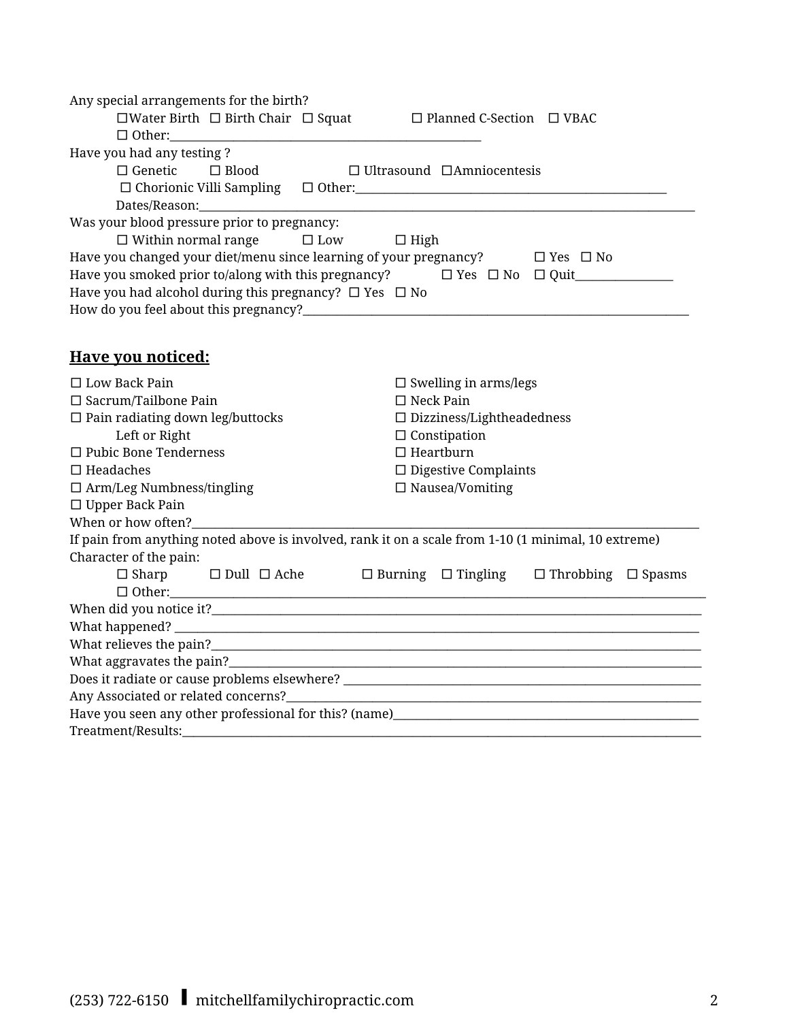| Any special arrangements for the birth?                                                             |                                                                                                         |
|-----------------------------------------------------------------------------------------------------|---------------------------------------------------------------------------------------------------------|
| $\square$ Water Birth $\square$ Birth Chair $\square$ Squat                                         | $\Box$ Planned C-Section $\Box$ VBAC                                                                    |
|                                                                                                     |                                                                                                         |
| Have you had any testing?                                                                           |                                                                                                         |
| $\Box$ Genetic<br>$\Box$ Blood                                                                      | $\Box$ Ultrasound $\Box$ Amniocentesis                                                                  |
| $\Box$ Chorionic Villi Sampling $\Box$ Other:                                                       |                                                                                                         |
|                                                                                                     |                                                                                                         |
| Was your blood pressure prior to pregnancy:                                                         |                                                                                                         |
| $\Box$ Within normal range $\Box$ Low $\Box$ High                                                   |                                                                                                         |
| Have you changed your diet/menu since learning of your pregnancy? $\square$ Yes $\square$ No        |                                                                                                         |
| Have you smoked prior to/along with this pregnancy?<br>□ Yes □ No □ Quit__________                  |                                                                                                         |
| Have you had alcohol during this pregnancy? $\Box$ Yes $\Box$ No                                    |                                                                                                         |
|                                                                                                     |                                                                                                         |
|                                                                                                     |                                                                                                         |
|                                                                                                     |                                                                                                         |
| <b>Have you noticed:</b>                                                                            |                                                                                                         |
| $\Box$ Low Back Pain                                                                                | $\Box$ Swelling in arms/legs                                                                            |
| $\Box$ Sacrum/Tailbone Pain                                                                         | $\Box$ Neck Pain                                                                                        |
| $\square$ Pain radiating down leg/buttocks                                                          | $\Box$ Dizziness/Lightheadedness                                                                        |
| Left or Right                                                                                       | $\Box$ Constipation                                                                                     |
| $\Box$ Pubic Bone Tenderness                                                                        | $\Box$ Heartburn                                                                                        |
| $\Box$ Headaches                                                                                    | $\Box$ Digestive Complaints                                                                             |
| $\Box$ Arm/Leg Numbness/tingling                                                                    | $\square$ Nausea/Vomiting                                                                               |
| $\Box$ Upper Back Pain                                                                              |                                                                                                         |
| When or how often?                                                                                  |                                                                                                         |
| If pain from anything noted above is involved, rank it on a scale from 1-10 (1 minimal, 10 extreme) |                                                                                                         |
| Character of the pain:                                                                              |                                                                                                         |
| $\Box$ Sharp                                                                                        | $\square$ Dull $\square$ Ache $\square$ Burning $\square$ Tingling $\square$ Throbbing $\square$ Spasms |
| $\Box$ $\Box$ $\Box$                                                                                |                                                                                                         |
|                                                                                                     |                                                                                                         |
|                                                                                                     |                                                                                                         |
|                                                                                                     |                                                                                                         |
|                                                                                                     |                                                                                                         |
|                                                                                                     |                                                                                                         |
| Any Associated or related concerns?________                                                         | <u> 1989 - Jan Samuel Barbara, margaret eta idazlea (h. 1989).</u>                                      |
|                                                                                                     |                                                                                                         |
|                                                                                                     |                                                                                                         |
|                                                                                                     |                                                                                                         |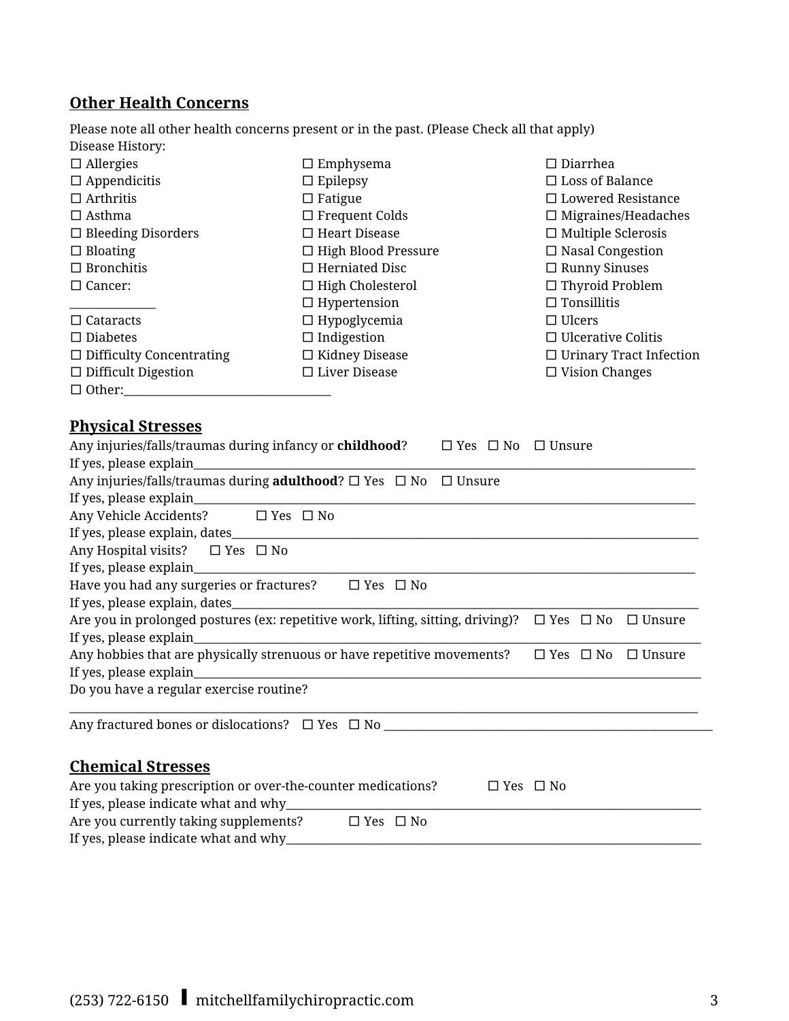# **Other Health Concerns**

Please note all other health concerns present or in the past. (Please Check all that apply) Disease History:

| $\Box$ Allergies                | $\Box$ Emphysema           | $\Box$ Diarrhea                |
|---------------------------------|----------------------------|--------------------------------|
| $\Box$ Appendicitis             | $\Box$ Epilepsy            | $\Box$ Loss of Balance         |
| $\Box$ Arthritis                | $\Box$ Fatigue             | $\Box$ Lowered Resistance      |
| $\Box$ Asthma                   | $\Box$ Frequent Colds      | $\Box$ Migraines/Headaches     |
| $\Box$ Bleeding Disorders       | $\Box$ Heart Disease       | $\Box$ Multiple Sclerosis      |
| $\Box$ Bloating                 | $\Box$ High Blood Pressure | $\Box$ Nasal Congestion        |
| $\Box$ Bronchitis               | $\Box$ Herniated Disc      | $\Box$ Runny Sinuses           |
| $\Box$ Cancer:                  | $\Box$ High Cholesterol    | $\Box$ Thyroid Problem         |
|                                 | $\Box$ Hypertension        | $\Box$ Tonsillitis             |
| $\Box$ Cataracts                | $\Box$ Hypoglycemia        | $\Box$ Ulcers                  |
| $\Box$ Diabetes                 | $\Box$ Indigestion         | $\Box$ Ulcerative Colitis      |
| $\Box$ Difficulty Concentrating | $\Box$ Kidney Disease      | $\Box$ Urinary Tract Infection |
| $\Box$ Difficult Digestion      | $\Box$ Liver Disease       | $\Box$ Vision Changes          |
| $\Box$ Other:                   |                            |                                |

### **Physical Stresses**

| Any injuries/falls/traumas during infancy or <b>childhood</b> ?                         | $\Box$ Yes $\Box$ No | $\Box$ Unsure        |               |
|-----------------------------------------------------------------------------------------|----------------------|----------------------|---------------|
|                                                                                         |                      |                      |               |
| Any injuries/falls/traumas during <b>adulthood</b> ? $\Box$ Yes $\Box$ No $\Box$ Unsure |                      |                      |               |
|                                                                                         |                      |                      |               |
| Any Vehicle Accidents? □ Yes □ No                                                       |                      |                      |               |
|                                                                                         |                      |                      |               |
| Any Hospital visits? $\Box$ Yes $\Box$ No                                               |                      |                      |               |
|                                                                                         |                      |                      |               |
| Have you had any surgeries or fractures?<br>$\Box$ Yes $\Box$ No                        |                      |                      |               |
|                                                                                         |                      |                      |               |
| Are you in prolonged postures (ex: repetitive work, lifting, sitting, driving)?         |                      | $\Box$ Yes $\Box$ No | $\Box$ Unsure |
| If yes, please explain_                                                                 |                      |                      |               |
| Any hobbies that are physically strenuous or have repetitive movements?                 |                      | $\Box$ Yes $\Box$ No | $\Box$ Unsure |
|                                                                                         |                      |                      |               |
| Do you have a regular exercise routine?                                                 |                      |                      |               |
|                                                                                         |                      |                      |               |
|                                                                                         |                      |                      |               |
|                                                                                         |                      |                      |               |
| <b>Chemical Stresses</b>                                                                |                      |                      |               |
| Are you taking prescription or over-the-counter medications?                            | $\Box$ Yes $\Box$ No |                      |               |
|                                                                                         |                      |                      |               |
| Are you currently taking supplements?<br>$\Box$ Yes $\Box$ No                           |                      |                      |               |
|                                                                                         |                      |                      |               |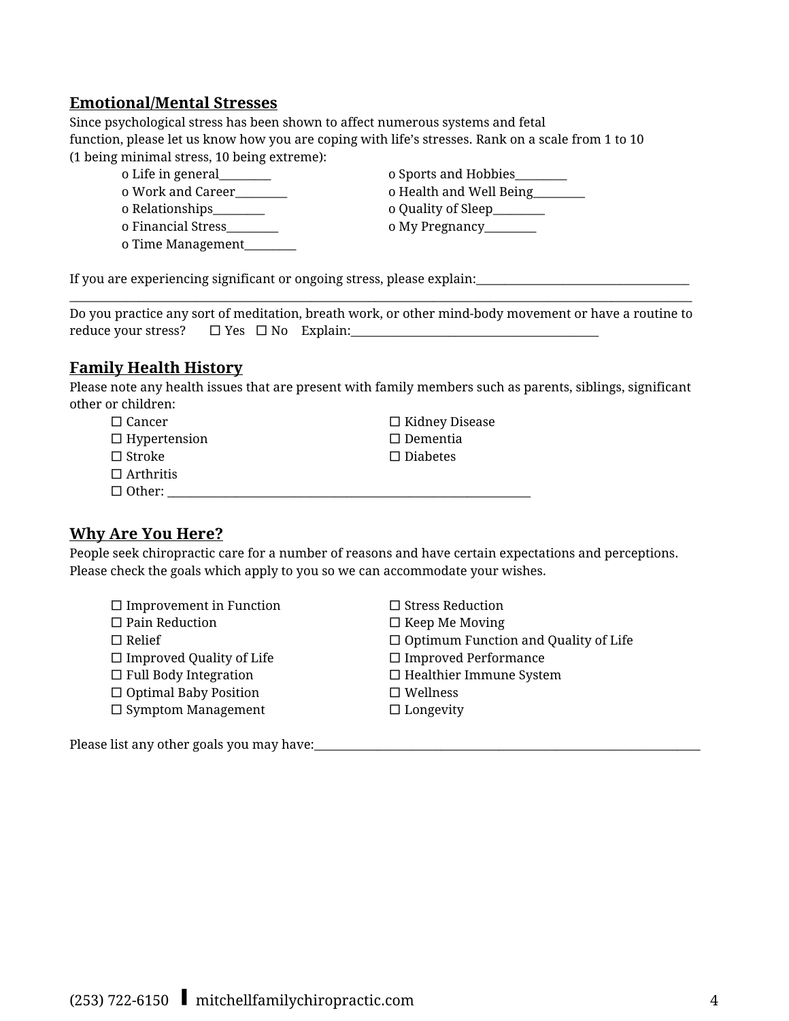#### **Emotional/Mental Stresses**

Since psychological stress has been shown to affect numerous systems and fetal function, please let us know how you are coping with life's stresses. Rank on a scale from 1 to 10 (1 being minimal stress, 10 being extreme):

o Relationships\_\_\_\_\_\_\_\_\_ o Quality of Sleep\_\_\_\_\_\_\_\_\_ o Financial Stress\_\_\_\_\_\_\_\_\_ o My Pregnancy\_\_\_\_\_\_\_\_\_ o Time Management\_\_\_\_\_\_\_\_\_

o Life in general\_\_\_\_\_\_\_\_\_ o Sports and Hobbies\_\_\_\_\_\_\_\_\_ o Work and Career\_\_\_\_\_\_\_\_\_ o Health and Well Being\_\_\_\_\_\_\_\_\_

If you are experiencing significant or ongoing stress, please explain:

 $\_$  , and the set of the set of the set of the set of the set of the set of the set of the set of the set of the set of the set of the set of the set of the set of the set of the set of the set of the set of the set of th Do you practice any sort of meditation, breath work, or other mind-body movement or have a routine to reduce your stress? □ Yes □ No Explain:\_\_\_\_\_\_\_\_\_\_\_\_\_\_\_\_\_\_\_\_\_\_\_\_\_\_\_\_\_\_\_\_\_\_\_\_\_\_\_\_\_\_\_

### **Family Health History**

Please note any health issues that are present with family members such as parents, siblings, significant other or children:

| $\Box$ Cancer       | $\Box$ Kidney Disease |
|---------------------|-----------------------|
| $\Box$ Hypertension | $\Box$ Dementia       |
| $\Box$ Stroke       | $\Box$ Diabetes       |
| $\Box$ Arthritis    |                       |
| $\Box$ Other:       |                       |

#### **Why Are You Here?**

People seek chiropractic care for a number of reasons and have certain expectations and perceptions. Please check the goals which apply to you so we can accommodate your wishes.

| $\Box$ Improvement in Function  | $\Box$ Stress Reduction                     |
|---------------------------------|---------------------------------------------|
| $\Box$ Pain Reduction           | $\Box$ Keep Me Moving                       |
| $\Box$ Relief                   | $\Box$ Optimum Function and Quality of Life |
| $\Box$ Improved Quality of Life | $\Box$ Improved Performance                 |
| $\Box$ Full Body Integration    | $\Box$ Healthier Immune System              |
| $\Box$ Optimal Baby Position    | $\Box$ Wellness                             |
| $\Box$ Symptom Management       | $\Box$ Longevity                            |
|                                 |                                             |

Please list any other goals you may have:\_\_\_\_\_\_\_\_\_\_\_\_\_\_\_\_\_\_\_\_\_\_\_\_\_\_\_\_\_\_\_\_\_\_\_\_\_\_\_\_\_\_\_\_\_\_\_\_\_\_\_\_\_\_\_\_\_\_\_\_\_\_\_\_\_\_\_